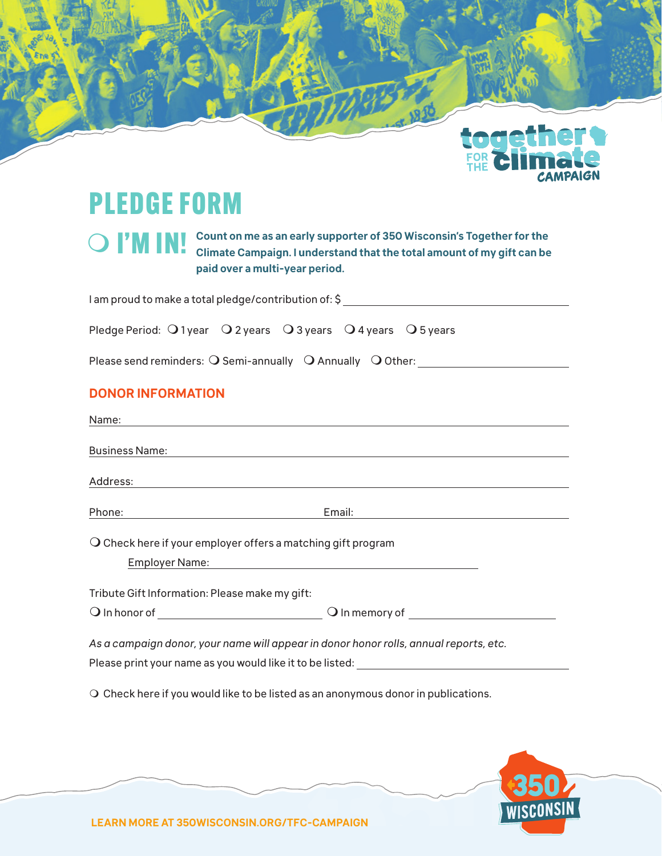

# PLEDGE FORM

|  | <b>O</b> I'M INI Count on me as an early supporter of 350 Wisconsin's Together for the Climate Campaign. I understand that the total amount of my gift can be |
|--|---------------------------------------------------------------------------------------------------------------------------------------------------------------|
|  |                                                                                                                                                               |
|  | paid over a multi-year period.                                                                                                                                |

| I am proud to make a total pledge/contribution of: \$                                                        |  |  |  |  |  |  |
|--------------------------------------------------------------------------------------------------------------|--|--|--|--|--|--|
| Pledge Period: $\bigcirc$ 1 year $\bigcirc$ 2 years $\bigcirc$ 3 years $\bigcirc$ 4 years $\bigcirc$ 5 years |  |  |  |  |  |  |
| Please send reminders: $\bigcirc$ Semi-annually $\bigcirc$ Annually $\bigcirc$ Other:                        |  |  |  |  |  |  |
| <b>DONOR INFORMATION</b>                                                                                     |  |  |  |  |  |  |

| Name:                                                                                 |  |  |  |  |  |
|---------------------------------------------------------------------------------------|--|--|--|--|--|
| <b>Business Name:</b>                                                                 |  |  |  |  |  |
| Address:                                                                              |  |  |  |  |  |
|                                                                                       |  |  |  |  |  |
| $\overline{O}$ Check here if your employer offers a matching gift program             |  |  |  |  |  |
|                                                                                       |  |  |  |  |  |
| Tribute Gift Information: Please make my gift:                                        |  |  |  |  |  |
|                                                                                       |  |  |  |  |  |
| As a campaign donor, your name will appear in donor honor rolls, annual reports, etc. |  |  |  |  |  |
| Please print your name as you would like it to be listed: ______________________      |  |  |  |  |  |
| $\cap$ Check hara if varuusuld like te he lieted ee en enenymeus densrin publications |  |  |  |  |  |